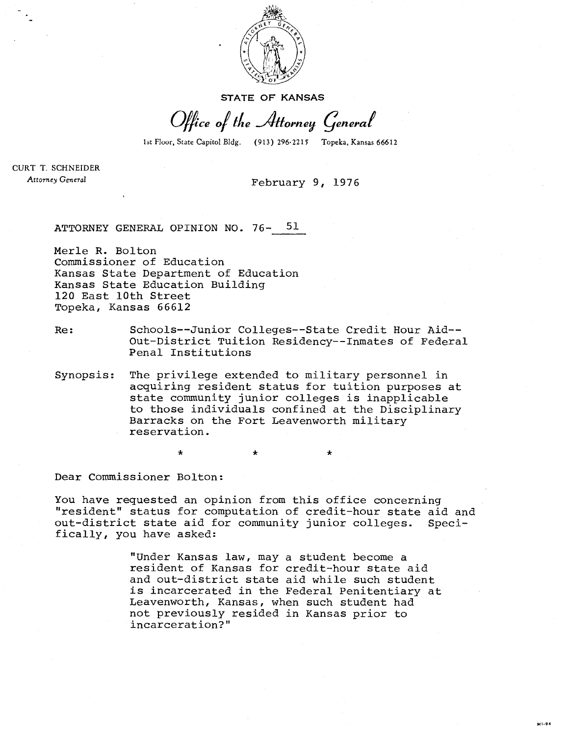

**STATE OF KANSAS** 

Office of the Attorney General

1st Floor, State Capitol Bldg. (913) 296-2215 Topeka, Kansas 66612

CURT T. SCHNEIDER Attorney General

## February 9, 1976

ATTORNEY GENERAL OPINION NO. 76- 51

Merle R. Bolton Commissioner of Education Kansas State Department of Education Kansas State Education Building 120 East 10th Street Topeka, Kansas 66612

Re: Schools--Junior Colleges--State Credit Hour Aid-- Out-District Tuition Residency--Inmates of Federal Penal Institutions

Synopsis: The privilege extended to military personnel in acquiring resident status for tuition purposes at state community junior colleges is inapplicable to those individuals confined at the Disciplinary Barracks on the Fort Leavenworth military reservation.

Dear Commissioner Bolton:

You have requested an opinion from this office concerning "resident" status for computation of credit-hour state aid and out-district state aid for community junior colleges. Specifically, you have asked:

> "Under Kansas law, may a student become a resident of Kansas for credit-hour state aid and out-district state aid while such student is incarcerated in the Federal Penitentiary at Leavenworth, Kansas, when such student had not previously resided in Kansas prior to incarceration?"

> > $M1 - 94$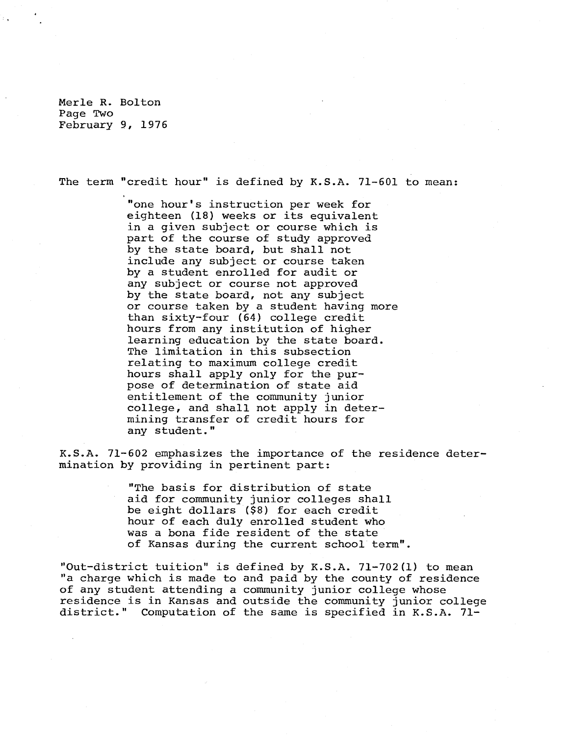Merle R. Bolton Page Two February 9, 1976

The term "credit hour" is defined by K.S.A. 71-601 to mean:

"one hour's instruction per week for eighteen (18) weeks or its equivalent in a given subject or course which is part of the course of study approved by the state board, but shall not include any subject or course taken by a student enrolled for audit or any subject or course not approved by the state board, not any subject or course taken by a student having more than sixty-four (64) college credit hours from any institution of higher learning education by the state board. The limitation in this subsection relating to maximum college credit hours shall apply only for the purpose of determination of state aid entitlement of the community junior college, and shall not apply in determining transfer of credit hours for any student."

K.S.A. 71-602 emphasizes the importance of the residence determination by providing in pertinent part:

> "The basis for distribution of state aid for community junior colleges shall be eight dollars (\$8) for each credit hour of each duly enrolled student who was a bona fide resident of the state of Kansas during the current school term".

"Out-district tuition" is defined by K.S.A. 71-702(1) to mean "a charge which is made to and paid by the county of residence of any student attending a community junior college whose residence is in Kansas and outside the community junior college district." Computation of the same is specified in K.S.A. 71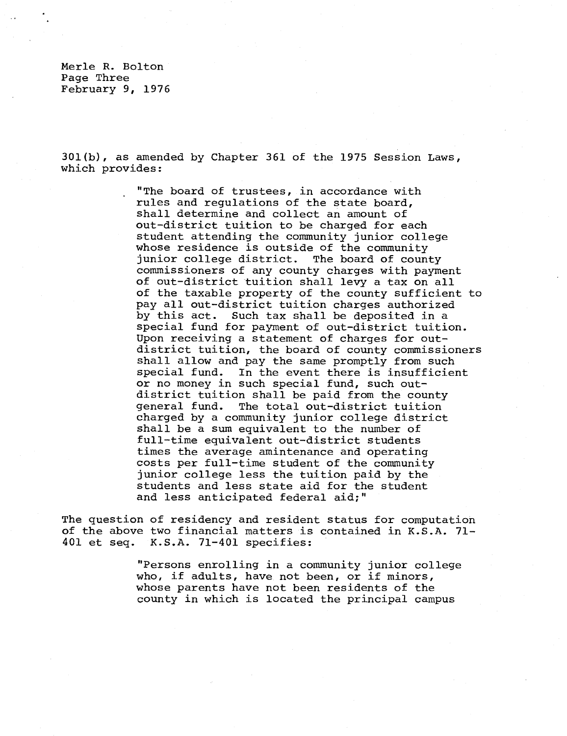Merle R. Bolton Page Three February 9, 1976

301(b), as amended by Chapter 361 of the 1975 Session Laws, which provides:

> "The board of trustees, in accordance with rules and regulations of the state board, shall determine and collect an amount of out-district tuition to be charged for each student attending the community junior college whose residence is outside of the community junior college district. The board of county commissioners of any county charges with payment of out-district tuition shall levy a tax on all of the taxable property of the county sufficient to pay all out-district tuition charges authorized by this act. Such tax shall be deposited in a special fund for payment of out-district tuition. Upon receiving a statement of charges for outdistrict tuition, the board of county commissioners shall allow and pay the same promptly from such special fund. In the event there is insufficient or no money in such special fund, such outdistrict tuition shall be paid from the county general fund. The total out-district tuition charged by a community junior college district shall be a sum equivalent to the number of full-time equivalent out-district students times the average amintenance and operating costs per full-time student of the community junior college less the tuition paid by the students and less state aid for the student and less anticipated federal aid;"

The question of residency and resident status for computation of the above two financial matters is contained in K.S.A. 71- 401 et seq. K.S.A. 71-401 specifies:

> "Persons enrolling in a community junior college who, if adults, have not been, or if minors, whose parents have not been residents of the county in which is located the principal campus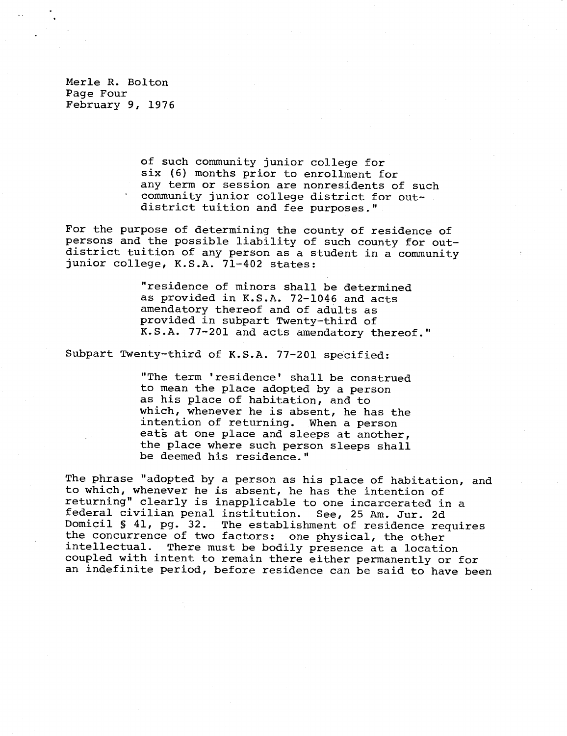Merle R. Bolton Page Four February 9, 1976

> of such community junior college for six (6) months prior to enrollment for any term or session are nonresidents of such community junior college district for outdistrict tuition and fee purposes."

For the purpose of determining the county of residence of persons and the possible liability of such county for outdistrict tuition of any person as a student in a community junior college, K.S.A. 71-402 states:

> "residence of minors shall be determined as provided in K.S.A. 72-1046 and acts amendatory thereof and of adults as provided in subpart Twenty-third of K.S.A. 77-201 and acts amendatory thereof."

Subpart Twenty-third of K.S.A. 77-201 specified:

"The term 'residence' shall be construed to mean the place adopted by a person as his place of habitation, and to which, whenever he is absent, he has the intention of returning. When a person eats at one place and sleeps at another, the place where such person sleeps shall be deemed his residence."

The phrase "adopted by a person as his place of habitation, and to which, whenever he is absent, he has the intention of returning" clearly is inapplicable to one incarcerated in a federal civilian penal institution. See, 25 Am. Jur. 2d Domicil § 41, pg. 32. The establishment of residence requires the concurrence of two factors: one physical, the other intellectual. There must be bodily presence at a location coupled with intent to remain there either permanently or for an indefinite period, before residence can be said to have been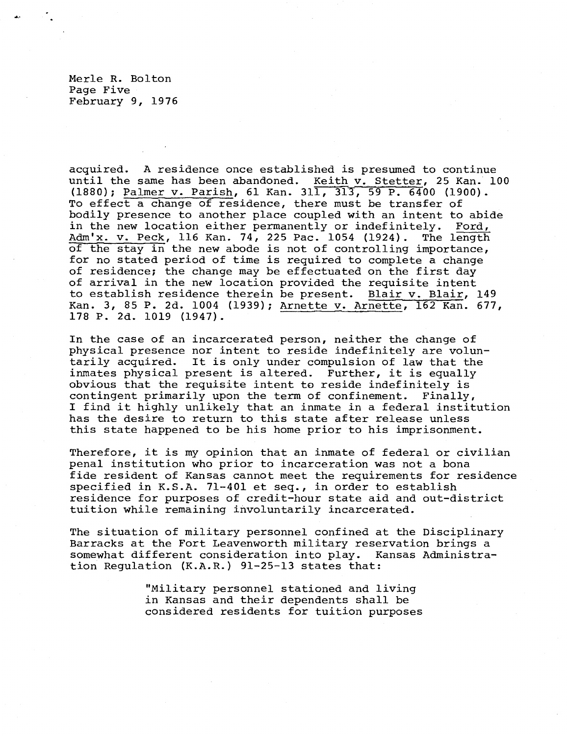Merle R. Bolton Page Five February 9, 1976

acquired. A residence once established is presumed to continue until the same has been abandoned. Keith v. Stetter, 25 Kan. 100 (1880); Palmer v. Parish, 61 Kan. 311, 317, 59 P. 6400 (1900). To effect a change of residence, there must be transfer of bodily presence to another place coupled with an intent to abide in the new location either permanently or indefinitely. Ford, Adm'x. v. Peck, 116 Kan. 74, 225 Pac. 1054 (1924). The length of the stay in the new abode is not of controlling importance, for no stated period of time is required to complete a change of residence; the change may be effectuated on the first day of arrival in the new location provided the requisite intent to establish residence therein be present. Blair v. Blair, 149 Kan. 3, 85 P. 2d. 1004 (1939); Arnette v. Arnette, 162 Kan. 677, 178 P. 2d. 1019 (1947).

In the case of an incarcerated person, neither the change of physical presence nor intent to reside indefinitely are voluntarily acquired. It is only under compulsion of law that the inmates physical present is altered. Further, it is equally obvious that the requisite intent to reside indefinitely is contingent primarily upon the term of confinement. Finally, I find it highly unlikely that an inmate in a federal institution has the desire to return to this state after release unless this state happened to be his home prior to his imprisonment.

Therefore, it is my opinion that an inmate of federal or civilian penal institution who prior to incarceration was not a bona fide resident of Kansas cannot meet the requirements for residence specified in K.S.A. 71-401 et seq., in order to establish residence for purposes of credit-hour state aid and out-district tuition while remaining involuntarily incarcerated.

The situation of military personnel confined at the Disciplinary Barracks at the Fort Leavenworth military reservation brings a somewhat different consideration into play. Kansas Administration Regulation (K.A.R.) 91-25-13 states that:

> "Military personnel stationed and living in Kansas and their dependents shall be considered residents for tuition purposes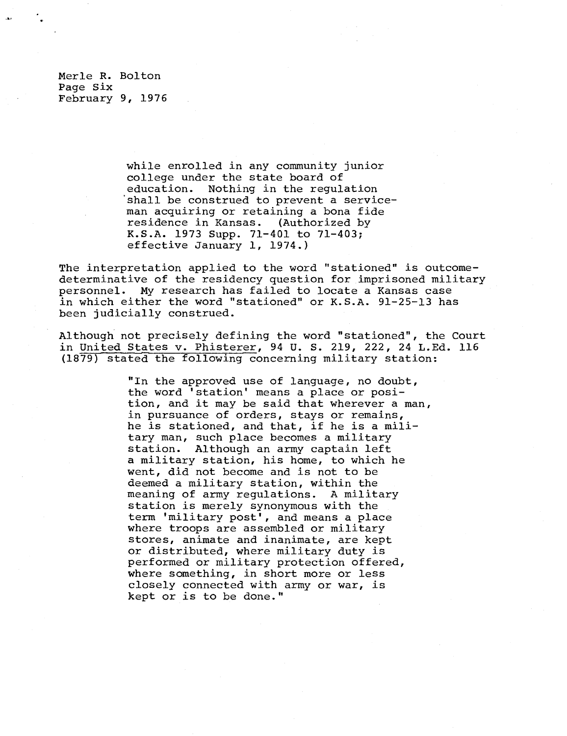Merle R. Bolton Page Six February 9, 1976

> while enrolled in any community junior college under the state board of education. Nothing in the regulation shall be construed to prevent a serviceman acquiring or retaining a bona fide residence in Kansas. (Authorized by K.S.A. 1973 Supp. 71-401 to 71-403; effective January 1, 1974.)

The interpretation applied to the word "stationed" is outcomedeterminative of the residency question for imprisoned military personnel. My research has failed to locate a Kansas case in which either the word "stationed" or K.S.A. 91-25-13 has been judicially construed.

Although not precisely defining the word "stationed", the Court in United States v. Phisterer,94 U. S. 219, 222, 24 L.Ed. 116 (1879) stated the following concerning military station:

> "In the approved use of language, no doubt, the word 'station' means a place or position, and it may be said that wherever a man, in pursuance of orders, stays or remains, he is stationed, and that, if he is a military man, such place becomes a military station. Although an army captain left a military station, his home, to which he went, did not become and is not to be deemed a military station, within the meaning of army regulations. A military station is merely synonymous with the term 'military post', and means a place where troops are assembled or military stores, animate and inanimate, are kept or distributed, where military duty is performed or military protection offered, where something, in short more or less closely connected with army or war, is kept or is to be done."